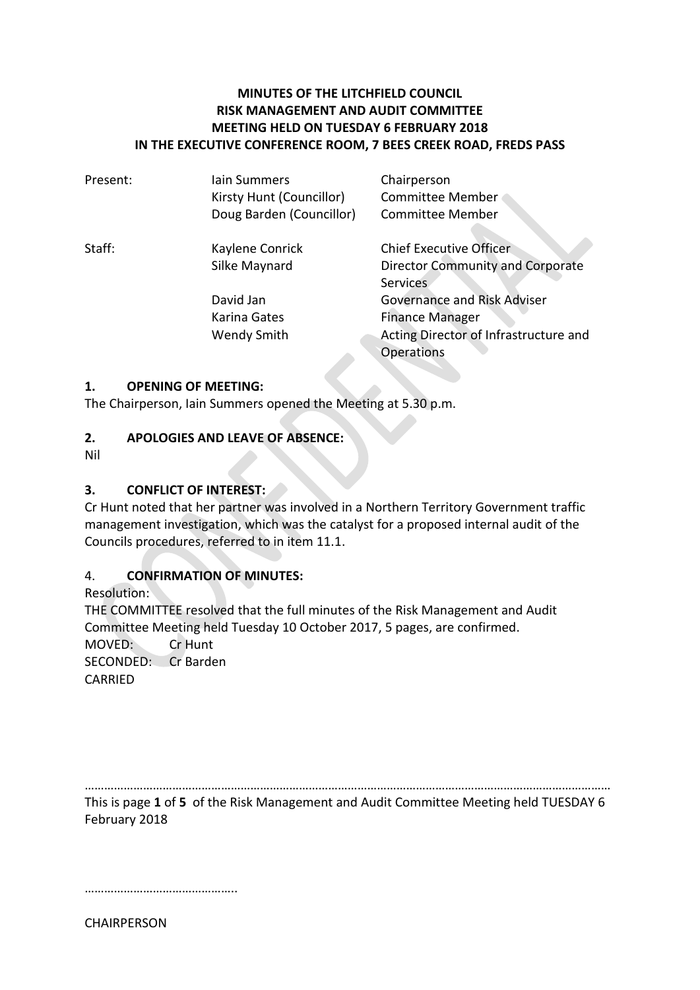# **MINUTES OF THE LITCHFIELD COUNCIL RISK MANAGEMENT AND AUDIT COMMITTEE MEETING HELD ON TUESDAY 6 FEBRUARY 2018 IN THE EXECUTIVE CONFERENCE ROOM, 7 BEES CREEK ROAD, FREDS PASS**

| Present: | lain Summers             | Chairperson                           |
|----------|--------------------------|---------------------------------------|
|          | Kirsty Hunt (Councillor) | Committee Member                      |
|          | Doug Barden (Councillor) | <b>Committee Member</b>               |
| Staff:   | Kaylene Conrick          | <b>Chief Executive Officer</b>        |
|          | Silke Maynard            | Director Community and Corporate      |
|          |                          | <b>Services</b>                       |
|          | David Jan                | <b>Governance and Risk Adviser</b>    |
|          | Karina Gates             | <b>Finance Manager</b>                |
|          | <b>Wendy Smith</b>       | Acting Director of Infrastructure and |
|          |                          | <b>Operations</b>                     |
|          |                          |                                       |

#### **1. OPENING OF MEETING:**

The Chairperson, Iain Summers opened the Meeting at 5.30 p.m.

#### **2. APOLOGIES AND LEAVE OF ABSENCE:**

Nil

#### **3. CONFLICT OF INTEREST:**

Cr Hunt noted that her partner was involved in a Northern Territory Government traffic management investigation, which was the catalyst for a proposed internal audit of the Councils procedures, referred to in item 11.1.

#### 4. **CONFIRMATION OF MINUTES:**

Resolution: THE COMMITTEE resolved that the full minutes of the Risk Management and Audit Committee Meeting held Tuesday 10 October 2017, 5 pages, are confirmed. MOVED: Cr Hunt SECONDED: Cr Barden CARRIED

……………………………………………………………………………………………………………………………………………… This is page **1** of **5** of the Risk Management and Audit Committee Meeting held TUESDAY 6 February 2018

…………………………………………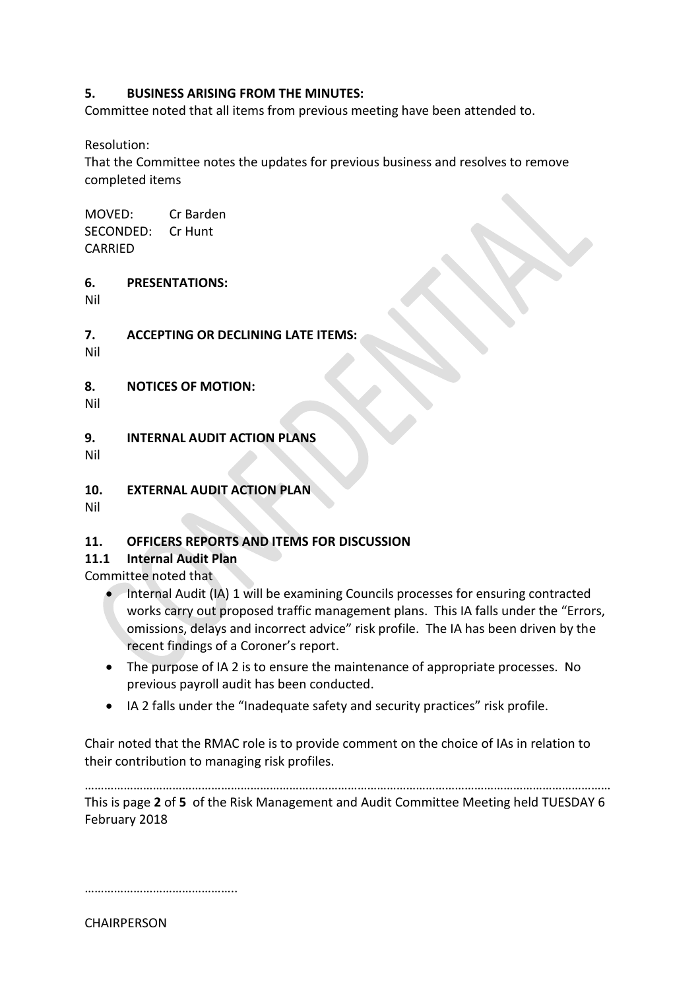## **5. BUSINESS ARISING FROM THE MINUTES:**

Committee noted that all items from previous meeting have been attended to.

Resolution:

That the Committee notes the updates for previous business and resolves to remove completed items

MOVED: Cr Barden SECONDED: Cr Hunt CARRIED

**6. PRESENTATIONS:** 

Nil

**7. ACCEPTING OR DECLINING LATE ITEMS:**

Nil

**8. NOTICES OF MOTION:**

Nil

**9. INTERNAL AUDIT ACTION PLANS**

Nil

**10. EXTERNAL AUDIT ACTION PLAN**

Nil

# **11. OFFICERS REPORTS AND ITEMS FOR DISCUSSION**

#### **11.1 Internal Audit Plan**

Committee noted that

- Internal Audit (IA) 1 will be examining Councils processes for ensuring contracted works carry out proposed traffic management plans. This IA falls under the "Errors, omissions, delays and incorrect advice" risk profile. The IA has been driven by the recent findings of a Coroner's report.
- The purpose of IA 2 is to ensure the maintenance of appropriate processes. No previous payroll audit has been conducted.
- IA 2 falls under the "Inadequate safety and security practices" risk profile.

Chair noted that the RMAC role is to provide comment on the choice of IAs in relation to their contribution to managing risk profiles.

……………………………………………………………………………………………………………………………………………… This is page **2** of **5** of the Risk Management and Audit Committee Meeting held TUESDAY 6 February 2018

…………………………………………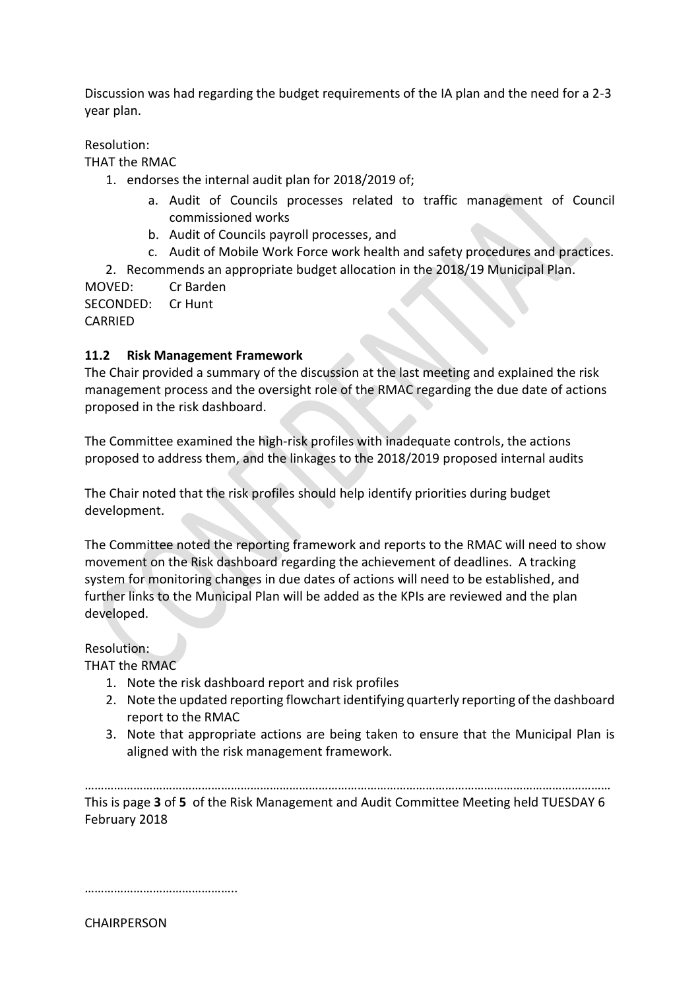Discussion was had regarding the budget requirements of the IA plan and the need for a 2-3 year plan.

Resolution:

THAT the RMAC

- 1. endorses the internal audit plan for 2018/2019 of;
	- a. Audit of Councils processes related to traffic management of Council commissioned works
	- b. Audit of Councils payroll processes, and
	- c. Audit of Mobile Work Force work health and safety procedures and practices.

2. Recommends an appropriate budget allocation in the 2018/19 Municipal Plan.

MOVED: Cr Barden

SECONDED: Cr Hunt

CARRIED

# **11.2 Risk Management Framework**

The Chair provided a summary of the discussion at the last meeting and explained the risk management process and the oversight role of the RMAC regarding the due date of actions proposed in the risk dashboard.

The Committee examined the high-risk profiles with inadequate controls, the actions proposed to address them, and the linkages to the 2018/2019 proposed internal audits

The Chair noted that the risk profiles should help identify priorities during budget development.

The Committee noted the reporting framework and reports to the RMAC will need to show movement on the Risk dashboard regarding the achievement of deadlines. A tracking system for monitoring changes in due dates of actions will need to be established, and further links to the Municipal Plan will be added as the KPIs are reviewed and the plan developed.

Resolution:

THAT the RMAC

- 1. Note the risk dashboard report and risk profiles
- 2. Note the updated reporting flowchart identifying quarterly reporting of the dashboard report to the RMAC
- 3. Note that appropriate actions are being taken to ensure that the Municipal Plan is aligned with the risk management framework.

……………………………………………………………………………………………………………………………………………… This is page **3** of **5** of the Risk Management and Audit Committee Meeting held TUESDAY 6 February 2018

…………………………………………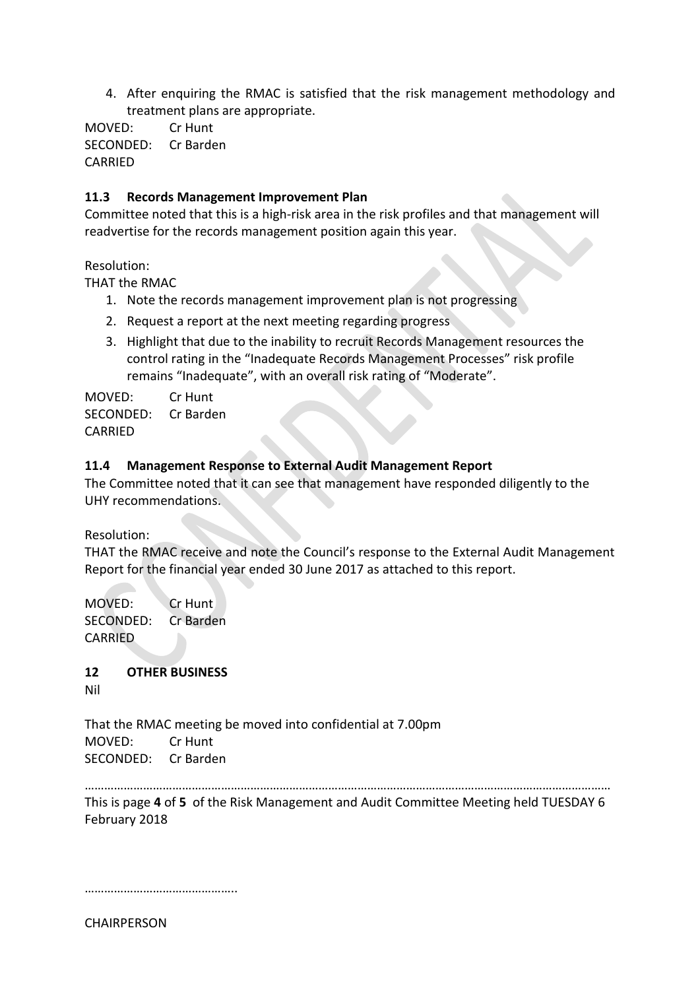4. After enquiring the RMAC is satisfied that the risk management methodology and treatment plans are appropriate.

MOVED: Cr Hunt SECONDED: Cr Barden CARRIED

## **11.3 Records Management Improvement Plan**

Committee noted that this is a high-risk area in the risk profiles and that management will readvertise for the records management position again this year.

Resolution:

THAT the RMAC

- 1. Note the records management improvement plan is not progressing
- 2. Request a report at the next meeting regarding progress
- 3. Highlight that due to the inability to recruit Records Management resources the control rating in the "Inadequate Records Management Processes" risk profile remains "Inadequate", with an overall risk rating of "Moderate".

MOVED: Cr Hunt SECONDED: Cr Barden CARRIED

## **11.4 Management Response to External Audit Management Report**

The Committee noted that it can see that management have responded diligently to the UHY recommendations.

Resolution:

THAT the RMAC receive and note the Council's response to the External Audit Management Report for the financial year ended 30 June 2017 as attached to this report.

MOVED: Cr Hunt SECONDED: Cr Barden CARRIED

**12 OTHER BUSINESS**

Nil

That the RMAC meeting be moved into confidential at 7.00pm MOVED: Cr Hunt SECONDED: Cr Barden

………………………………………………………………………………………………………………………………………………

This is page **4** of **5** of the Risk Management and Audit Committee Meeting held TUESDAY 6 February 2018

…………………………………………